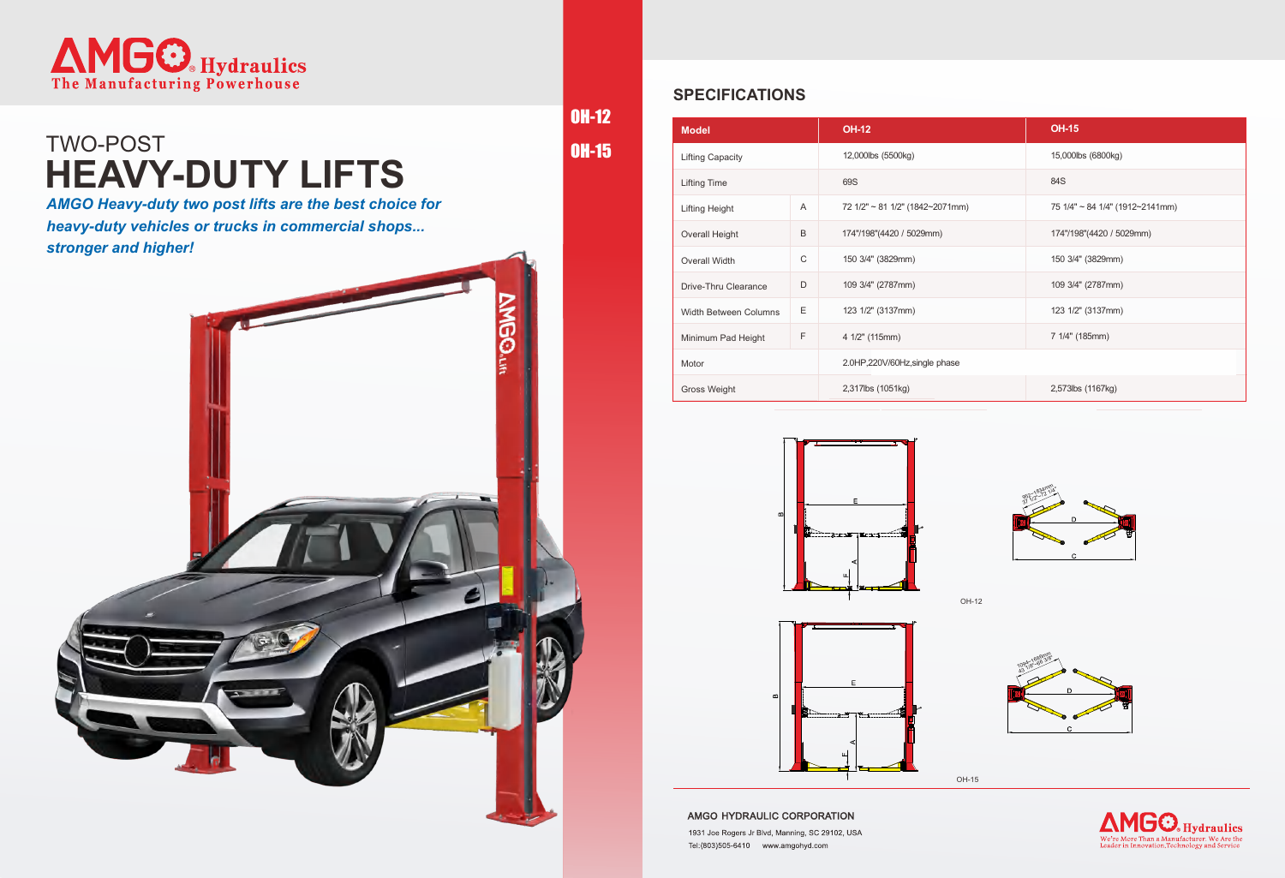OH-12

OH-15



## **HEAVY-DUTY LIFTS** TWO-POST

### **SPECIFICATIONS**

| <b>Model</b>                 |             | <b>OH-12</b>                    | <b>OH-15</b>                    |
|------------------------------|-------------|---------------------------------|---------------------------------|
| <b>Lifting Capacity</b>      |             | 12,000lbs (5500kg)              | 15,000lbs (6800kg)              |
| <b>Lifting Time</b>          |             | 69S                             | 84S                             |
| <b>Lifting Height</b>        | A           | 72 1/2" ~ 81 1/2" (1842~2071mm) | 75 1/4" ~ 84 1/4" (1912~2141mm) |
| <b>Overall Height</b>        | B           | 174"/198"(4420 / 5029mm)        | 174"/198"(4420 / 5029mm)        |
| Overall Width                | $\mathsf C$ | 150 3/4" (3829mm)               | 150 3/4" (3829mm)               |
| Drive-Thru Clearance         | D           | 109 3/4" (2787mm)               | 109 3/4" (2787mm)               |
| <b>Width Between Columns</b> | Ε           | 123 1/2" (3137mm)               | 123 1/2" (3137mm)               |
| Minimum Pad Height           | F           | 4 1/2" (115mm)                  | 7 1/4" (185mm)                  |
| Motor                        |             | 2.0HP,220V/60Hz,single phase    |                                 |
| <b>Gross Weight</b>          |             | 2,317lbs (1051kg)               | 2,573lbs (1167kg)               |





AMGO HYDRAULIC CORPORATION

1931 Joe Rogers Jr Blvd, Manning, SC 29102, USA Tel:(803)505-6410 www.amgohyd.com

OH-15



OH-12

*AMGO Heavy-duty two post lifts are the best choice for heavy-duty vehicles or trucks in commercial shops... stronger and higher!*